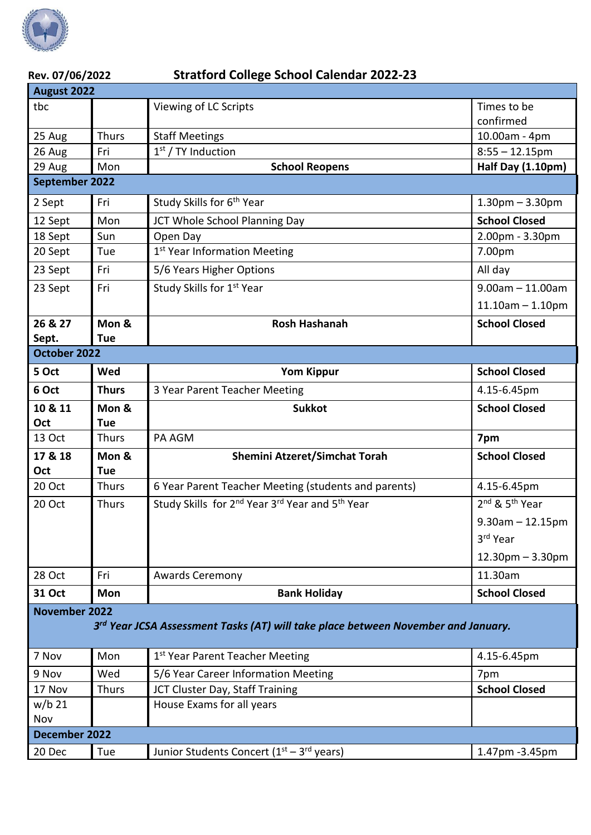

| Rev. 07/06/2022                                                                   |                     | <b>Stratford College School Calendar 2022-23</b>                                    |                              |  |  |  |
|-----------------------------------------------------------------------------------|---------------------|-------------------------------------------------------------------------------------|------------------------------|--|--|--|
| August 2022                                                                       |                     |                                                                                     |                              |  |  |  |
| tbc                                                                               |                     | Viewing of LC Scripts                                                               | Times to be<br>confirmed     |  |  |  |
| 25 Aug                                                                            | <b>Thurs</b>        | <b>Staff Meetings</b>                                                               | 10.00am - 4pm                |  |  |  |
| 26 Aug                                                                            | Fri                 | $1st$ / TY Induction                                                                | $8:55 - 12.15$ pm            |  |  |  |
| 29 Aug                                                                            | Mon                 | <b>School Reopens</b>                                                               | Half Day (1.10pm)            |  |  |  |
| September 2022                                                                    |                     |                                                                                     |                              |  |  |  |
| 2 Sept                                                                            | Fri                 | Study Skills for 6 <sup>th</sup> Year                                               | $1.30$ pm $- 3.30$ pm        |  |  |  |
| 12 Sept                                                                           | Mon                 | JCT Whole School Planning Day                                                       | <b>School Closed</b>         |  |  |  |
| 18 Sept                                                                           | Sun                 | Open Day                                                                            | 2.00pm - 3.30pm              |  |  |  |
| 20 Sept                                                                           | Tue                 | 1 <sup>st</sup> Year Information Meeting                                            | 7.00pm                       |  |  |  |
| 23 Sept                                                                           | Fri                 | 5/6 Years Higher Options                                                            | All day                      |  |  |  |
| 23 Sept                                                                           | Fri                 | Study Skills for 1st Year                                                           | $9.00$ am $-11.00$ am        |  |  |  |
|                                                                                   |                     |                                                                                     | $11.10$ am $- 1.10$ pm       |  |  |  |
| 26 & 27                                                                           | Mon &               | <b>Rosh Hashanah</b>                                                                | <b>School Closed</b>         |  |  |  |
| Sept.                                                                             | <b>Tue</b>          |                                                                                     |                              |  |  |  |
| October 2022                                                                      |                     |                                                                                     |                              |  |  |  |
| 5 Oct                                                                             | Wed                 | <b>Yom Kippur</b>                                                                   | <b>School Closed</b>         |  |  |  |
| 6 Oct                                                                             | <b>Thurs</b>        | 3 Year Parent Teacher Meeting                                                       | 4.15-6.45pm                  |  |  |  |
| 10 & 11                                                                           | Mon &               | <b>Sukkot</b>                                                                       | <b>School Closed</b>         |  |  |  |
| Oct                                                                               | <b>Tue</b>          |                                                                                     |                              |  |  |  |
| 13 Oct                                                                            | <b>Thurs</b>        | PA AGM                                                                              | 7pm                          |  |  |  |
| 17 & 18<br>Oct                                                                    | Mon &<br><b>Tue</b> | <b>Shemini Atzeret/Simchat Torah</b>                                                | <b>School Closed</b>         |  |  |  |
| 20 Oct                                                                            | Thurs               | 6 Year Parent Teacher Meeting (students and parents)                                | 4.15-6.45pm                  |  |  |  |
| 20 Oct                                                                            | <b>Thurs</b>        | Study Skills for 2 <sup>nd</sup> Year 3 <sup>rd</sup> Year and 5 <sup>th</sup> Year | $2nd$ & 5 <sup>th</sup> Year |  |  |  |
|                                                                                   |                     |                                                                                     | $9.30$ am $- 12.15$ pm       |  |  |  |
|                                                                                   |                     |                                                                                     | 3rd Year                     |  |  |  |
|                                                                                   |                     |                                                                                     | $12.30$ pm $- 3.30$ pm       |  |  |  |
| 28 Oct                                                                            | Fri                 | <b>Awards Ceremony</b>                                                              | 11.30am                      |  |  |  |
| <b>31 Oct</b>                                                                     | <b>Mon</b>          | <b>Bank Holiday</b>                                                                 | <b>School Closed</b>         |  |  |  |
| <b>November 2022</b>                                                              |                     |                                                                                     |                              |  |  |  |
| 3rd Year JCSA Assessment Tasks (AT) will take place between November and January. |                     |                                                                                     |                              |  |  |  |
|                                                                                   |                     |                                                                                     |                              |  |  |  |
| 7 Nov                                                                             | Mon                 | 1st Year Parent Teacher Meeting                                                     | 4.15-6.45pm                  |  |  |  |
| 9 Nov                                                                             | Wed                 | 5/6 Year Career Information Meeting                                                 | 7pm                          |  |  |  |
| 17 Nov                                                                            | <b>Thurs</b>        | JCT Cluster Day, Staff Training                                                     | <b>School Closed</b>         |  |  |  |
| $w/b$ 21<br>Nov                                                                   |                     | House Exams for all years                                                           |                              |  |  |  |
| December 2022                                                                     |                     |                                                                                     |                              |  |  |  |
| 20 Dec                                                                            | Tue                 | Junior Students Concert ( $1st - 3rd$ years)                                        | 1.47pm -3.45pm               |  |  |  |